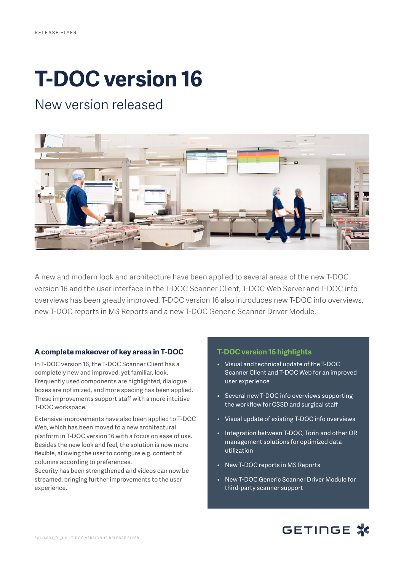# **T-DOC version 16**

# New version released



A new and modern look and architecture have been applied to several areas of the new T-DOC version 16 and the user interface in the T-DOC Scanner Client, T-DOC Web Server and T-DOC info overviews has been greatly improved. T-DOC version 16 also introduces new T-DOC info overviews, new T-DOC reports in MS Reports and a new T-DOC Generic Scanner Driver Module.

#### **A complete makeover of key areas in T-DOC**

In T-DOC version 16, the T-DOC Scanner Client has a completely new and improved, yet familiar, look. Frequently used components are highlighted, dialogue boxes are optimized, and more spacing has been applied. These improvements support staff with a more intuitive T-DOC workspace.

Extensive improvements have also been applied to T-DOC Web, which has been moved to a new architectural platform in T-DOC version 16 with a focus on ease of use. Besides the new look and feel, the solution is now more flexible, allowing the user to configure e.g. content of columns according to preferences.

Security has been strengthened and videos can now be streamed, bringing further improvements to the user experience.

#### **T-DOC version 16 highlights**

- Visual and technical update of the T-DOC Scanner Client and T-DOC Web for an improved user experience
- Several new T-DOC info overviews supporting the workflow for CSSD and surgical staff
- Visual update of existing T-DOC info overviews
- Integration between T-DOC, Torin and other OR management solutions for optimized data utilization
- New T-DOC reports in MS Reports
- New T-DOC Generic Scanner Driver Module for third-party scanner support